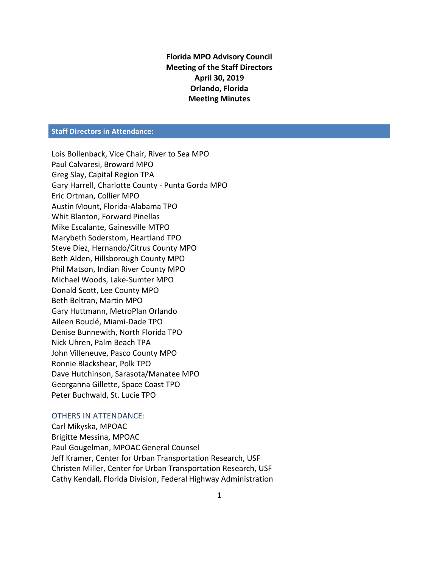**Florida MPO Advisory Council Meeting of the Staff Directors April 30, 2019 Orlando, Florida Meeting Minutes**

# **Staff Directors in Attendance:**

Lois Bollenback, Vice Chair, River to Sea MPO Paul Calvaresi, Broward MPO Greg Slay, Capital Region TPA Gary Harrell, Charlotte County - Punta Gorda MPO Eric Ortman, Collier MPO Austin Mount, Florida-Alabama TPO Whit Blanton, Forward Pinellas Mike Escalante, Gainesville MTPO Marybeth Soderstom, Heartland TPO Steve Diez, Hernando/Citrus County MPO Beth Alden, Hillsborough County MPO Phil Matson, Indian River County MPO Michael Woods, Lake-Sumter MPO Donald Scott, Lee County MPO Beth Beltran, Martin MPO Gary Huttmann, MetroPlan Orlando Aileen Bouclé, Miami-Dade TPO Denise Bunnewith, North Florida TPO Nick Uhren, Palm Beach TPA John Villeneuve, Pasco County MPO Ronnie Blackshear, Polk TPO Dave Hutchinson, Sarasota/Manatee MPO Georganna Gillette, Space Coast TPO Peter Buchwald, St. Lucie TPO

#### OTHERS IN ATTENDANCE:

Carl Mikyska, MPOAC Brigitte Messina, MPOAC Paul Gougelman, MPOAC General Counsel Jeff Kramer, Center for Urban Transportation Research, USF Christen Miller, Center for Urban Transportation Research, USF Cathy Kendall, Florida Division, Federal Highway Administration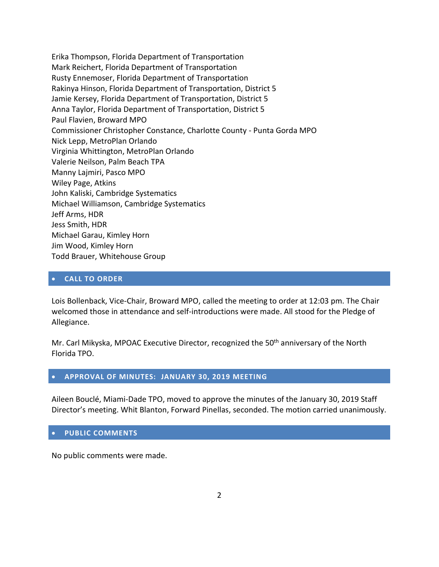Erika Thompson, Florida Department of Transportation Mark Reichert, Florida Department of Transportation Rusty Ennemoser, Florida Department of Transportation Rakinya Hinson, Florida Department of Transportation, District 5 Jamie Kersey, Florida Department of Transportation, District 5 Anna Taylor, Florida Department of Transportation, District 5 Paul Flavien, Broward MPO Commissioner Christopher Constance, Charlotte County - Punta Gorda MPO Nick Lepp, MetroPlan Orlando Virginia Whittington, MetroPlan Orlando Valerie Neilson, Palm Beach TPA Manny Lajmiri, Pasco MPO Wiley Page, Atkins John Kaliski, Cambridge Systematics Michael Williamson, Cambridge Systematics Jeff Arms, HDR Jess Smith, HDR Michael Garau, Kimley Horn Jim Wood, Kimley Horn Todd Brauer, Whitehouse Group

## **CALL TO ORDER**

Lois Bollenback, Vice-Chair, Broward MPO, called the meeting to order at 12:03 pm. The Chair welcomed those in attendance and self-introductions were made. All stood for the Pledge of Allegiance.

Mr. Carl Mikyska, MPOAC Executive Director, recognized the 50<sup>th</sup> anniversary of the North Florida TPO.

#### **APPROVAL OF MINUTES: JANUARY 30, 2019 MEETING**

Aileen Bouclé, Miami-Dade TPO, moved to approve the minutes of the January 30, 2019 Staff Director's meeting. Whit Blanton, Forward Pinellas, seconded. The motion carried unanimously.

#### **PUBLIC COMMENTS**

No public comments were made.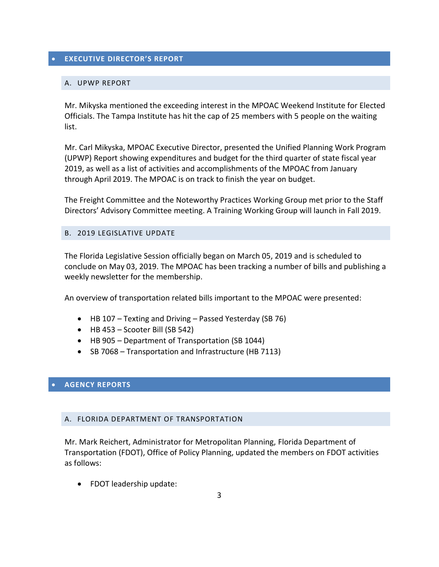# **EXECUTIVE DIRECTOR'S REPORT**

## A. UPWP REPORT

Mr. Mikyska mentioned the exceeding interest in the MPOAC Weekend Institute for Elected Officials. The Tampa Institute has hit the cap of 25 members with 5 people on the waiting list.

Mr. Carl Mikyska, MPOAC Executive Director, presented the Unified Planning Work Program (UPWP) Report showing expenditures and budget for the third quarter of state fiscal year 2019, as well as a list of activities and accomplishments of the MPOAC from January through April 2019. The MPOAC is on track to finish the year on budget.

The Freight Committee and the Noteworthy Practices Working Group met prior to the Staff Directors' Advisory Committee meeting. A Training Working Group will launch in Fall 2019.

### B. 2019 LEGISLATIVE UPDATE

The Florida Legislative Session officially began on March 05, 2019 and is scheduled to conclude on May 03, 2019. The MPOAC has been tracking a number of bills and publishing a weekly newsletter for the membership.

An overview of transportation related bills important to the MPOAC were presented:

- HB 107 Texting and Driving Passed Yesterday (SB 76)
- $\bullet$  HB 453 Scooter Bill (SB 542)
- HB 905 Department of Transportation (SB 1044)
- SB 7068 Transportation and Infrastructure (HB 7113)

## **AGENCY REPORTS**

## A. FLORIDA DEPARTMENT OF TRANSPORTATION

Mr. Mark Reichert, Administrator for Metropolitan Planning, Florida Department of Transportation (FDOT), Office of Policy Planning, updated the members on FDOT activities as follows:

FDOT leadership update: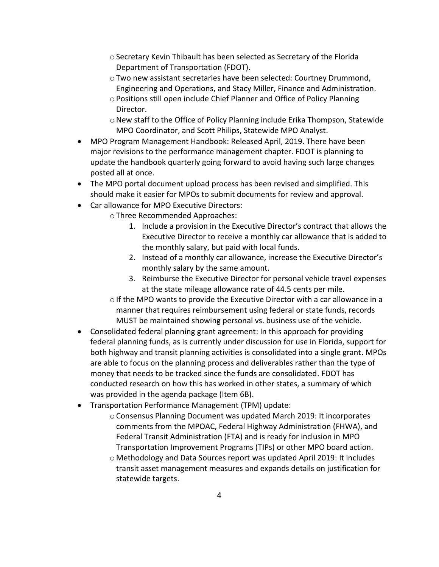- oSecretary Kevin Thibault has been selected as Secretary of the Florida Department of Transportation (FDOT).
- oTwo new assistant secretaries have been selected: Courtney Drummond, Engineering and Operations, and Stacy Miller, Finance and Administration.
- oPositions still open include Chief Planner and Office of Policy Planning Director.
- $\circ$  New staff to the Office of Policy Planning include Erika Thompson, Statewide MPO Coordinator, and Scott Philips, Statewide MPO Analyst.
- MPO Program Management Handbook: Released April, 2019. There have been major revisions to the performance management chapter. FDOT is planning to update the handbook quarterly going forward to avoid having such large changes posted all at once.
- The MPO portal document upload process has been revised and simplified. This should make it easier for MPOs to submit documents for review and approval.
- Car allowance for MPO Executive Directors:
	- oThree Recommended Approaches:
		- 1. Include a provision in the Executive Director's contract that allows the Executive Director to receive a monthly car allowance that is added to the monthly salary, but paid with local funds.
		- 2. Instead of a monthly car allowance, increase the Executive Director's monthly salary by the same amount.
		- 3. Reimburse the Executive Director for personal vehicle travel expenses at the state mileage allowance rate of 44.5 cents per mile.
	- $\circ$  If the MPO wants to provide the Executive Director with a car allowance in a manner that requires reimbursement using federal or state funds, records MUST be maintained showing personal vs. business use of the vehicle.
- Consolidated federal planning grant agreement: In this approach for providing federal planning funds, as is currently under discussion for use in Florida, support for both highway and transit planning activities is consolidated into a single grant. MPOs are able to focus on the planning process and deliverables rather than the type of money that needs to be tracked since the funds are consolidated. FDOT has conducted research on how this has worked in other states, a summary of which was provided in the agenda package (Item 6B).
- Transportation Performance Management (TPM) update:
	- $\circ$  Consensus Planning Document was updated March 2019: It incorporates comments from the MPOAC, Federal Highway Administration (FHWA), and Federal Transit Administration (FTA) and is ready for inclusion in MPO Transportation Improvement Programs (TIPs) or other MPO board action.
	- o Methodology and Data Sources report was updated April 2019: It includes transit asset management measures and expands details on justification for statewide targets.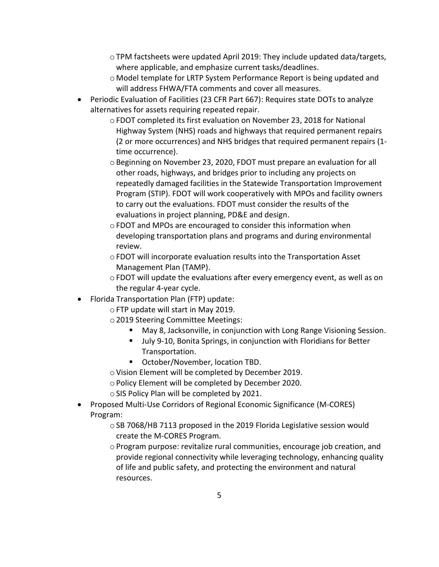- $\circ$  TPM factsheets were updated April 2019: They include updated data/targets, where applicable, and emphasize current tasks/deadlines.
- o Model template for LRTP System Performance Report is being updated and will address FHWA/FTA comments and cover all measures.
- Periodic Evaluation of Facilities (23 CFR Part 667): Requires state DOTs to analyze alternatives for assets requiring repeated repair.
	- oFDOT completed its first evaluation on November 23, 2018 for National Highway System (NHS) roads and highways that required permanent repairs (2 or more occurrences) and NHS bridges that required permanent repairs (1 time occurrence).
	- $\circ$  Beginning on November 23, 2020, FDOT must prepare an evaluation for all other roads, highways, and bridges prior to including any projects on repeatedly damaged facilities in the Statewide Transportation Improvement Program (STIP). FDOT will work cooperatively with MPOs and facility owners to carry out the evaluations. FDOT must consider the results of the evaluations in project planning, PD&E and design.
	- oFDOT and MPOs are encouraged to consider this information when developing transportation plans and programs and during environmental review.
	- $\circ$  FDOT will incorporate evaluation results into the Transportation Asset Management Plan (TAMP).
	- $\circ$  FDOT will update the evaluations after every emergency event, as well as on the regular 4-year cycle.
- Florida Transportation Plan (FTP) update:
	- oFTP update will start in May 2019.
	- o2019 Steering Committee Meetings:
		- May 8, Jacksonville, in conjunction with Long Range Visioning Session.
		- July 9-10, Bonita Springs, in conjunction with Floridians for Better Transportation.
		- October/November, location TBD.
	- oVision Element will be completed by December 2019.
	- oPolicy Element will be completed by December 2020.
	- oSIS Policy Plan will be completed by 2021.
- Proposed Multi-Use Corridors of Regional Economic Significance (M-CORES) Program:
	- oSB 7068/HB 7113 proposed in the 2019 Florida Legislative session would create the M-CORES Program.
	- $\circ$  Program purpose: revitalize rural communities, encourage job creation, and provide regional connectivity while leveraging technology, enhancing quality of life and public safety, and protecting the environment and natural resources.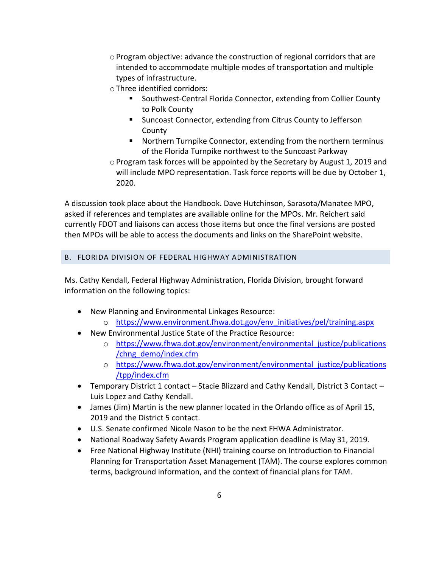oProgram objective: advance the construction of regional corridors that are intended to accommodate multiple modes of transportation and multiple types of infrastructure.

oThree identified corridors:

- Southwest-Central Florida Connector, extending from Collier County to Polk County
- **E** Suncoast Connector, extending from Citrus County to Jefferson County
- Northern Turnpike Connector, extending from the northern terminus of the Florida Turnpike northwest to the Suncoast Parkway

 $\circ$  Program task forces will be appointed by the Secretary by August 1, 2019 and will include MPO representation. Task force reports will be due by October 1, 2020.

A discussion took place about the Handbook. Dave Hutchinson, Sarasota/Manatee MPO, asked if references and templates are available online for the MPOs. Mr. Reichert said currently FDOT and liaisons can access those items but once the final versions are posted then MPOs will be able to access the documents and links on the SharePoint website.

# B. FLORIDA DIVISION OF FEDERAL HIGHWAY ADMINISTRATION

Ms. Cathy Kendall, Federal Highway Administration, Florida Division, brought forward information on the following topics:

- New Planning and Environmental Linkages Resource:
	- o [https://www.environment.fhwa.dot.gov/env\\_initiatives/pel/training.aspx](https://www.environment.fhwa.dot.gov/env_initiatives/pel/training.aspx)
- New Environmental Justice State of the Practice Resource:
	- o [https://www.fhwa.dot.gov/environment/environmental\\_justice/publications](https://www.fhwa.dot.gov/environment/environmental_justice/publications/chng_demo/index.cfm) [/chng\\_demo/index.cfm](https://www.fhwa.dot.gov/environment/environmental_justice/publications/chng_demo/index.cfm)
	- o [https://www.fhwa.dot.gov/environment/environmental\\_justice/publications](https://www.fhwa.dot.gov/environment/environmental_justice/publications/tpp/index.cfm) [/tpp/index.cfm](https://www.fhwa.dot.gov/environment/environmental_justice/publications/tpp/index.cfm)
- Temporary District 1 contact Stacie Blizzard and Cathy Kendall, District 3 Contact Luis Lopez and Cathy Kendall.
- James (Jim) Martin is the new planner located in the Orlando office as of April 15, 2019 and the District 5 contact.
- U.S. Senate confirmed Nicole Nason to be the next FHWA Administrator.
- National Roadway Safety Awards Program application deadline is May 31, 2019.
- Free National Highway Institute (NHI) training course on Introduction to Financial Planning for Transportation Asset Management (TAM). The course explores common terms, background information, and the context of financial plans for TAM.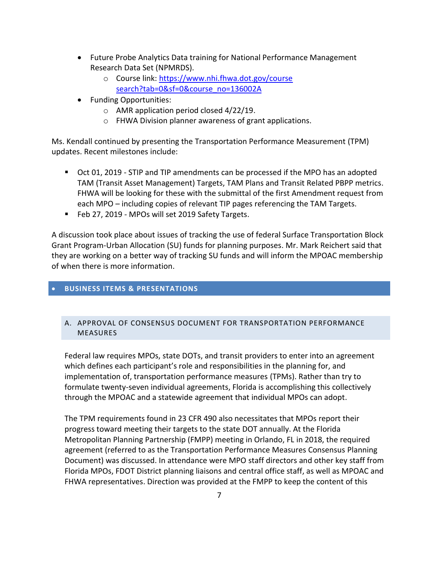- Future Probe Analytics Data training for National Performance Management Research Data Set (NPMRDS).
	- o Course link: https://www.nhi.fhwa.dot.gov/course [search?tab=0&sf=0&course\\_no=136002A](https://www.nhi.fhwa.dot.gov/course%20search?tab=0&sf=0&course_no=136002A)
- Funding Opportunities:
	- o AMR application period closed 4/22/19.
	- o FHWA Division planner awareness of grant applications.

Ms. Kendall continued by presenting the Transportation Performance Measurement (TPM) updates. Recent milestones include:

- Oct 01, 2019 STIP and TIP amendments can be processed if the MPO has an adopted TAM (Transit Asset Management) Targets, TAM Plans and Transit Related PBPP metrics. FHWA will be looking for these with the submittal of the first Amendment request from each MPO – including copies of relevant TIP pages referencing the TAM Targets.
- Feb 27, 2019 MPOs will set 2019 Safety Targets.

A discussion took place about issues of tracking the use of federal Surface Transportation Block Grant Program-Urban Allocation (SU) funds for planning purposes. Mr. Mark Reichert said that they are working on a better way of tracking SU funds and will inform the MPOAC membership of when there is more information.

# **BUSINESS ITEMS & PRESENTATIONS**

# A. APPROVAL OF CONSENSUS DOCUMENT FOR TRANSPORTATION PERFORMANCE MEASURES

Federal law requires MPOs, state DOTs, and transit providers to enter into an agreement which defines each participant's role and responsibilities in the planning for, and implementation of, transportation performance measures (TPMs). Rather than try to formulate twenty-seven individual agreements, Florida is accomplishing this collectively through the MPOAC and a statewide agreement that individual MPOs can adopt.

The TPM requirements found in 23 CFR 490 also necessitates that MPOs report their progress toward meeting their targets to the state DOT annually. At the Florida Metropolitan Planning Partnership (FMPP) meeting in Orlando, FL in 2018, the required agreement (referred to as the Transportation Performance Measures Consensus Planning Document) was discussed. In attendance were MPO staff directors and other key staff from Florida MPOs, FDOT District planning liaisons and central office staff, as well as MPOAC and FHWA representatives. Direction was provided at the FMPP to keep the content of this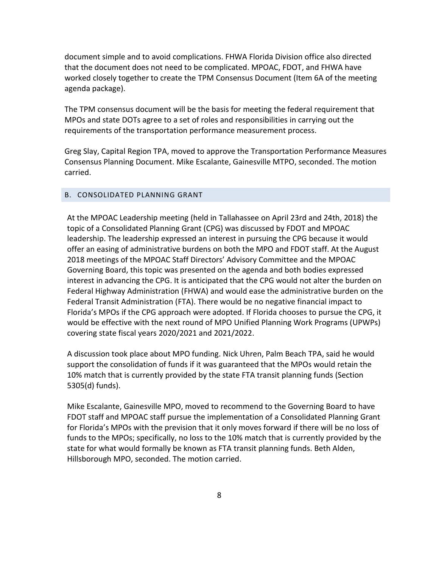document simple and to avoid complications. FHWA Florida Division office also directed that the document does not need to be complicated. MPOAC, FDOT, and FHWA have worked closely together to create the TPM Consensus Document (Item 6A of the meeting agenda package).

The TPM consensus document will be the basis for meeting the federal requirement that MPOs and state DOTs agree to a set of roles and responsibilities in carrying out the requirements of the transportation performance measurement process.

Greg Slay, Capital Region TPA, moved to approve the Transportation Performance Measures Consensus Planning Document. Mike Escalante, Gainesville MTPO, seconded. The motion carried.

## B. CONSOLIDATED PLANNING GRANT

At the MPOAC Leadership meeting (held in Tallahassee on April 23rd and 24th, 2018) the topic of a Consolidated Planning Grant (CPG) was discussed by FDOT and MPOAC leadership. The leadership expressed an interest in pursuing the CPG because it would offer an easing of administrative burdens on both the MPO and FDOT staff. At the August 2018 meetings of the MPOAC Staff Directors' Advisory Committee and the MPOAC Governing Board, this topic was presented on the agenda and both bodies expressed interest in advancing the CPG. It is anticipated that the CPG would not alter the burden on Federal Highway Administration (FHWA) and would ease the administrative burden on the Federal Transit Administration (FTA). There would be no negative financial impact to Florida's MPOs if the CPG approach were adopted. If Florida chooses to pursue the CPG, it would be effective with the next round of MPO Unified Planning Work Programs (UPWPs) covering state fiscal years 2020/2021 and 2021/2022.

A discussion took place about MPO funding. Nick Uhren, Palm Beach TPA, said he would support the consolidation of funds if it was guaranteed that the MPOs would retain the 10% match that is currently provided by the state FTA transit planning funds (Section 5305(d) funds).

Mike Escalante, Gainesville MPO, moved to recommend to the Governing Board to have FDOT staff and MPOAC staff pursue the implementation of a Consolidated Planning Grant for Florida's MPOs with the prevision that it only moves forward if there will be no loss of funds to the MPOs; specifically, no loss to the 10% match that is currently provided by the state for what would formally be known as FTA transit planning funds. Beth Alden, Hillsborough MPO, seconded. The motion carried.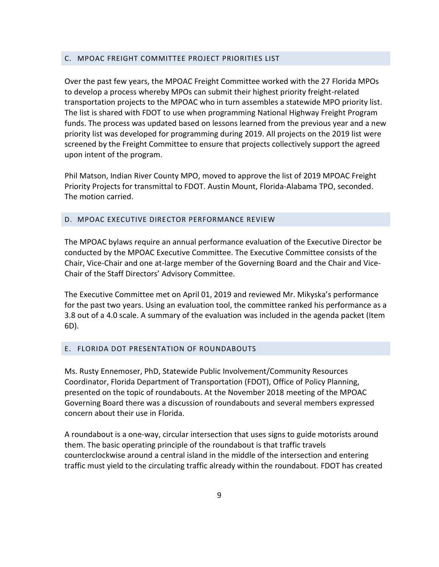### C. MPOAC FREIGHT COMMITTEE PROJECT PRIORITIES LIST

Over the past few years, the MPOAC Freight Committee worked with the 27 Florida MPOs to develop a process whereby MPOs can submit their highest priority freight-related transportation projects to the MPOAC who in turn assembles a statewide MPO priority list. The list is shared with FDOT to use when programming National Highway Freight Program funds. The process was updated based on lessons learned from the previous year and a new priority list was developed for programming during 2019. All projects on the 2019 list were screened by the Freight Committee to ensure that projects collectively support the agreed upon intent of the program.

Phil Matson, Indian River County MPO, moved to approve the list of 2019 MPOAC Freight Priority Projects for transmittal to FDOT. Austin Mount, Florida-Alabama TPO, seconded. The motion carried.

# D. MPOAC EXECUTIVE DIRECTOR PERFORMANCE REVIEW

The MPOAC bylaws require an annual performance evaluation of the Executive Director be conducted by the MPOAC Executive Committee. The Executive Committee consists of the Chair, Vice-Chair and one at-large member of the Governing Board and the Chair and Vice-Chair of the Staff Directors' Advisory Committee.

The Executive Committee met on April 01, 2019 and reviewed Mr. Mikyska's performance for the past two years. Using an evaluation tool, the committee ranked his performance as a 3.8 out of a 4.0 scale. A summary of the evaluation was included in the agenda packet (Item 6D).

### E. FLORIDA DOT PRESENTATION OF ROUNDABOUTS

Ms. Rusty Ennemoser, PhD, Statewide Public Involvement/Community Resources Coordinator, Florida Department of Transportation (FDOT), Office of Policy Planning, presented on the topic of roundabouts. At the November 2018 meeting of the MPOAC Governing Board there was a discussion of roundabouts and several members expressed concern about their use in Florida.

A roundabout is a one-way, circular intersection that uses signs to guide motorists around them. The basic operating principle of the roundabout is that traffic travels counterclockwise around a central island in the middle of the intersection and entering traffic must yield to the circulating traffic already within the roundabout. FDOT has created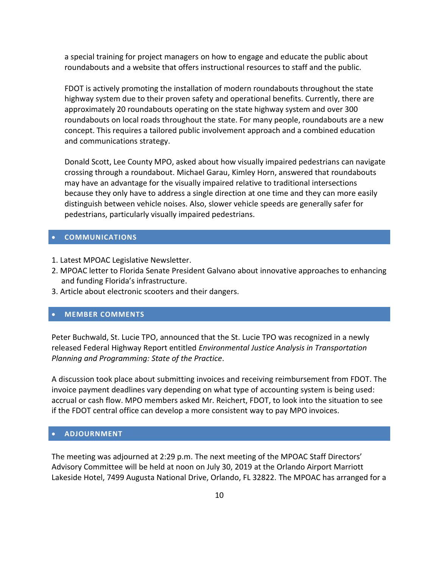a special training for project managers on how to engage and educate the public about roundabouts and a website that offers instructional resources to staff and the public.

FDOT is actively promoting the installation of modern roundabouts throughout the state highway system due to their proven safety and operational benefits. Currently, there are approximately 20 roundabouts operating on the state highway system and over 300 roundabouts on local roads throughout the state. For many people, roundabouts are a new concept. This requires a tailored public involvement approach and a combined education and communications strategy.

Donald Scott, Lee County MPO, asked about how visually impaired pedestrians can navigate crossing through a roundabout. Michael Garau, Kimley Horn, answered that roundabouts may have an advantage for the visually impaired relative to traditional intersections because they only have to address a single direction at one time and they can more easily distinguish between vehicle noises. Also, slower vehicle speeds are generally safer for pedestrians, particularly visually impaired pedestrians.

# **COMMUNICATIONS**

- 1. Latest MPOAC Legislative Newsletter.
- 2. MPOAC letter to Florida Senate President Galvano about innovative approaches to enhancing and funding Florida's infrastructure.
- 3. Article about electronic scooters and their dangers.

# **MEMBER COMMENTS**

Peter Buchwald, St. Lucie TPO, announced that the St. Lucie TPO was recognized in a newly released Federal Highway Report entitled *Environmental Justice Analysis in Transportation Planning and Programming: State of the Practice*.

A discussion took place about submitting invoices and receiving reimbursement from FDOT. The invoice payment deadlines vary depending on what type of accounting system is being used: accrual or cash flow. MPO members asked Mr. Reichert, FDOT, to look into the situation to see if the FDOT central office can develop a more consistent way to pay MPO invoices.

# **ADJOURNMENT**

The meeting was adjourned at 2:29 p.m. The next meeting of the MPOAC Staff Directors' Advisory Committee will be held at noon on July 30, 2019 at the Orlando Airport Marriott Lakeside Hotel, 7499 Augusta National Drive, Orlando, FL 32822. The MPOAC has arranged for a